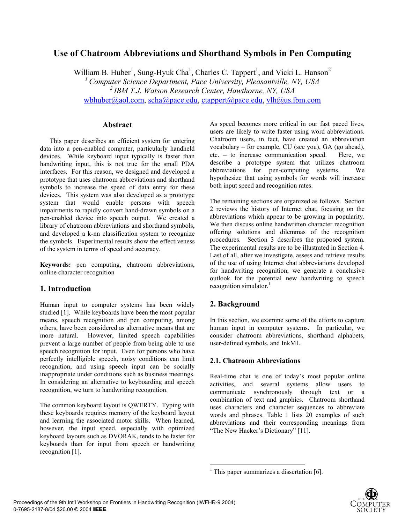# **Use of Chatroom Abbreviations and Shorthand Symbols in Pen Computing**

William B. Huber<sup>1</sup>, Sung-Hyuk Cha<sup>1</sup>, Charles C. Tappert<sup>1</sup>, and Vicki L. Hanson<sup>2</sup> *1 Computer Science Department, Pace University, Pleasantville, NY, USA 2 IBM T.J. Watson Research Center, Hawthorne, NY, USA* wbhuber@aol.com, scha@pace.edu, ctappert@pace.edu, vlh@us.ibm.com

## **Abstract**

 This paper describes an efficient system for entering data into a pen-enabled computer, particularly handheld devices. While keyboard input typically is faster than handwriting input, this is not true for the small PDA interfaces. For this reason, we designed and developed a prototype that uses chatroom abbreviations and shorthand symbols to increase the speed of data entry for these devices. This system was also developed as a prototype system that would enable persons with speech impairments to rapidly convert hand-drawn symbols on a pen-enabled device into speech output. We created a library of chatroom abbreviations and shorthand symbols, and developed a k-nn classification system to recognize the symbols. Experimental results show the effectiveness of the system in terms of speed and accuracy.

**Keywords:** pen computing, chatroom abbreviations, online character recognition

## **1. Introduction**

Human input to computer systems has been widely studied [1]. While keyboards have been the most popular means, speech recognition and pen computing, among others, have been considered as alternative means that are more natural. However, limited speech capabilities prevent a large number of people from being able to use speech recognition for input. Even for persons who have perfectly intelligible speech, noisy conditions can limit recognition, and using speech input can be socially inappropriate under conditions such as business meetings. In considering an alternative to keyboarding and speech recognition, we turn to handwriting recognition.

The common keyboard layout is QWERTY. Typing with these keyboards requires memory of the keyboard layout and learning the associated motor skills. When learned, however, the input speed, especially with optimized keyboard layouts such as DVORAK, tends to be faster for keyboards than for input from speech or handwriting recognition [1].

As speed becomes more critical in our fast paced lives, users are likely to write faster using word abbreviations. Chatroom users, in fact, have created an abbreviation vocabulary – for example, CU (see you), GA (go ahead), etc. – to increase communication speed. Here, we describe a prototype system that utilizes chatroom abbreviations for pen-computing systems. We hypothesize that using symbols for words will increase both input speed and recognition rates.

The remaining sections are organized as follows. Section 2 reviews the history of Internet chat, focusing on the abbreviations which appear to be growing in popularity. We then discuss online handwritten character recognition offering solutions and dilemmas of the recognition procedures. Section 3 describes the proposed system. The experimental results are to be illustrated in Section 4. Last of all, after we investigate, assess and retrieve results of the use of using Internet chat abbreviations developed for handwriting recognition, we generate a conclusive outlook for the potential new handwriting to speech recognition simulator. $1$ 

## **2. Background**

 $\overline{a}$ 

In this section, we examine some of the efforts to capture human input in computer systems. In particular, we consider chatroom abbreviations, shorthand alphabets, user-defined symbols, and InkML.

## **2.1. Chatroom Abbreviations**

Real-time chat is one of today's most popular online activities, and several systems allow users to communicate synchronously through text or a combination of text and graphics. Chatroom shorthand uses characters and character sequences to abbreviate words and phrases. Table 1 lists 20 examples of such abbreviations and their corresponding meanings from "The New Hacker's Dictionary" [11].

<sup>&</sup>lt;sup>1</sup> This paper summarizes a dissertation [6].

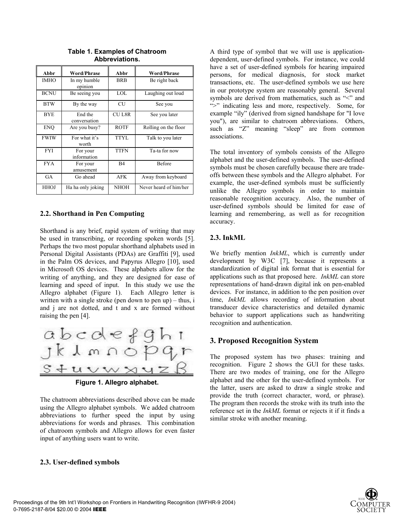| Abbr        | <b>Word/Phrase</b>      | Abbr         | <b>Word/Phrase</b>     |  |  |
|-------------|-------------------------|--------------|------------------------|--|--|
| <b>IMHO</b> | In my humble<br>opinion | <b>BRB</b>   | Be right back          |  |  |
| <b>BCNU</b> | Be seeing you           | LOL          | Laughing out loud      |  |  |
| <b>BTW</b>  | By the way              | <b>CU</b>    | See you                |  |  |
| <b>BYE</b>  | End the<br>conversation | <b>CUL8R</b> | See you later          |  |  |
| <b>ENQ</b>  | Are you busy?           | <b>ROTF</b>  | Rolling on the floor   |  |  |
| <b>FWIW</b> | For what it's<br>worth  | TTYL         | Talk to you later      |  |  |
| <b>FYI</b>  | For your<br>information | <b>TTFN</b>  | Ta-ta for now          |  |  |
| <b>FYA</b>  | For your<br>amusement   | B4           | <b>Before</b>          |  |  |
| GA          | Go ahead                | <b>AFK</b>   | Away from keyboard     |  |  |
| HHOJ        | Ha ha only joking       | <b>NHOH</b>  | Never heard of him/her |  |  |

**Table 1. Examples of Chatroom Abbreviations.** 

#### **2.2. Shorthand in Pen Computing**

Shorthand is any brief, rapid system of writing that may be used in transcribing, or recording spoken words [5]. Perhaps the two most popular shorthand alphabets used in Personal Digital Assistants (PDAs) are Graffiti [9], used in the Palm OS devices, and Papyrus Allegro [10], used in Microsoft OS devices. These alphabets allow for the writing of anything, and they are designed for ease of learning and speed of input. In this study we use the Allegro alphabet (Figure 1). Each Allegro letter is written with a single stroke (pen down to pen up) – thus, i and j are not dotted, and t and x are formed without raising the pen [4].



**Figure 1. Allegro alphabet.** 

The chatroom abbreviations described above can be made using the Allegro alphabet symbols. We added chatroom abbreviations to further speed the input by using abbreviations for words and phrases. This combination of chatroom symbols and Allegro allows for even faster input of anything users want to write.

#### **2.3. User-defined symbols**

A third type of symbol that we will use is applicationdependent, user-defined symbols. For instance, we could have a set of user-defined symbols for hearing impaired persons, for medical diagnosis, for stock market transactions, etc. The user-defined symbols we use here in our prototype system are reasonably general. Several symbols are derived from mathematics, such as "<" and ">" indicating less and more, respectively. Some, for example "ily" (derived from signed handshape for "I love you"), are similar to chatroom abbreviations. Others, such as "Z" meaning "sleep" are from common associations.

The total inventory of symbols consists of the Allegro alphabet and the user-defined symbols. The user-defined symbols must be chosen carefully because there are tradeoffs between these symbols and the Allegro alphabet. For example, the user-defined symbols must be sufficiently unlike the Allegro symbols in order to maintain reasonable recognition accuracy. Also, the number of user-defined symbols should be limited for ease of learning and remembering, as well as for recognition accuracy.

#### **2.3. InkML**

We briefly mention *InkML*, which is currently under development by W3C [7], because it represents a standardization of digital ink format that is essential for applications such as that proposed here. *InkML* can store representations of hand-drawn digital ink on pen-enabled devices. For instance, in addition to the pen position over time, *InkML* allows recording of information about transducer device characteristics and detailed dynamic behavior to support applications such as handwriting recognition and authentication.

#### **3. Proposed Recognition System**

The proposed system has two phases: training and recognition. Figure 2 shows the GUI for these tasks. There are two modes of training, one for the Allegro alphabet and the other for the user-defined symbols. For the latter, users are asked to draw a single stroke and provide the truth (correct character, word, or phrase). The program then records the stroke with its truth into the reference set in the *InkML* format or rejects it if it finds a similar stroke with another meaning.

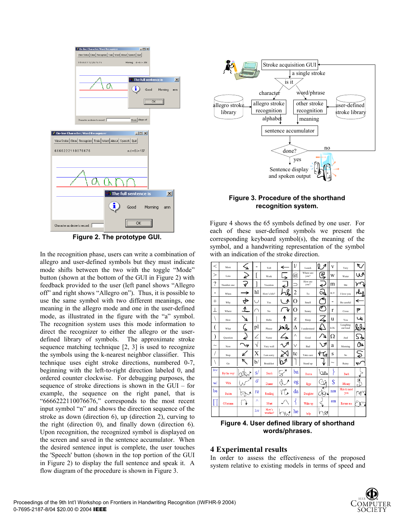

**Figure 2. The prototype GUI.** 

In the recognition phase, users can write a combination of allegro and user-defined symbols but they must indicate mode shifts between the two with the toggle "Mode" button (shown at the bottom of the GUI in Figure 2) with feedback provided to the user (left panel shows "Allegro off" and right shows "Allegro on"). Thus, it is possible to use the same symbol with two different meanings, one meaning in the allegro mode and one in the user-defined mode, as illustrated in the figure with the "a" symbol. The recognition system uses this mode information to direct the recognizer to either the allegro or the userdefined library of symbols. The approximate stroke sequence matching technique [2, 3] is used to recognize the symbols using the k-nearest neighbor classifier. This technique uses eight stroke directions, numbered 0-7, beginning with the left-to-right direction labeled 0, and ordered counter clockwise. For debugging purposes, the sequence of stroke directions is shown in the GUI – for example, the sequence on the right panel, that is "6666222110076676," corresponds to the most recent input symbol "n" and shows the direction sequence of the stroke as down (direction 6), up (direction 2), curving to the right (direction 0), and finally down (direction 6). Upon recognition, the recognized symbol is displayed on the screen and saved in the sentence accumulator. When the desired sentence input is complete, the user touches the 'Speech' button (shown in the top portion of the GUI in Figure 2) to display the full sentence and speak it. A flow diagram of the procedure is shown in Figure 3.



### **Figure 3. Procedure of the shorthand recognition system.**

Figure 4 shows the 65 symbols defined by one user. For each of these user-defined symbols we present the corresponding keyboard symbol(s), the meaning of the symbol, and a handwriting representation of the symbol with an indication of the stroke direction.

| $\,<$                     | More       | ۷        |             | Tell              | $\overline{\phantom{0}}$ | $_{1/}$                     | Lunch             | l<br>А             | V    | Very                 | ᠷ.   |
|---------------------------|------------|----------|-------------|-------------------|--------------------------|-----------------------------|-------------------|--------------------|------|----------------------|------|
| >                         | Less       | Ľ        |             | Work              | $\overline{\phantom{a}}$ | $^{\hspace{-0.1em}(\!a\!)}$ | Where are<br>you? | يو                 | W    | Water                | W    |
| $\overline{\mathcal{C}}$  | Number one | v        |             | Vacation          | ←                        |                             | How are<br>you?   | ←                  | m    | Me                   |      |
| $\overline{\phantom{a}}$  | When       | →        | hl          | How's life?       | Q                        | $\overline{c}$              | To                | Z                  | ILY  | I love you           | ـىلە |
| $^{+}$                    | Why        |          | Ü           | Yes               | ∧                        | О                           | Smell             | e                  |      | Be careful           | ←    |
| T                         | Where      | ↑        | ∩           | No                | ψ                        | О                           | Sunny             | 7                  | r    | Cross                | Ρ    |
| $\backslash$              | How        |          |             | Hello             | ↑                        | Z                           | Sleep             | $\overline{\zeta}$ | u    | You                  | لما  |
| (                         | What       | ۷        | pl          | Please            | لجلحا                    | Δ                           | I understand      | €                  | LOL. | Laughing<br>out loud | ₩    |
| $\mathcal{E}$             | Ouestion   | k        | Ζ           | Name              |                          | Λ                           | Good              | 7                  | Ω    | And                  | 54   |
| $\widetilde{\phantom{m}}$ | Now        | ヲ        | V           | Very well         | ∧⊿                       | $\vee$                      | Bad               | $\vee$             | a    | Morning              | /∆   |
| 1                         | Stop       |          | Х           | I am sorry        |                          | tc                          | Take care         | 4<br>Ъ             | S    | So                   |      |
| $\backslash$              | Go         | K        | $_{\rm b/}$ | <b>Breakfast</b>  | 1<br>b                   |                             | Stand up          |                    |      | Rainy                | پ    |
| Btw                       | By the way | R,       | s/          | Snack             | Ş                        | ba                          | Bacon             | つめ                 |      | Back                 |      |
| w                         | With       |          | d           | Dinner            |                          | eg                          | Eggs              | د                  | \$   | Money                | ⊕    |
| ba                        | Bacon      | চাং<br>A | re          | Reading           | ه ۱٦                     | da                          | Daughter          | ↞                  | nm   | Nice to meet<br>you  | M    |
|                           | Of course  |          | Λ           | Must              |                          | ∛                           | Wake up           |                    | em   | Excuse me            | ĸ٣   |
|                           |            |          | hw          | How's<br>weather? | Ŵ                        | he                          | help              | W<br>V             |      |                      |      |

**Figure 4. User defined library of shorthand words/phrases.**

### **4 Experimental results**

In order to assess the effectiveness of the proposed system relative to existing models in terms of speed and

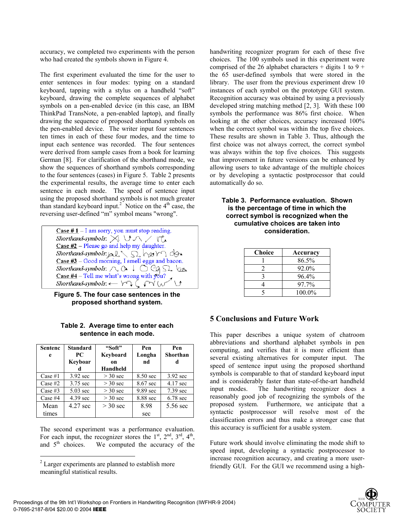accuracy, we completed two experiments with the person who had created the symbols shown in Figure 4.

The first experiment evaluated the time for the user to enter sentences in four modes: typing on a standard keyboard, tapping with a stylus on a handheld "soft" keyboard, drawing the complete sequences of alphabet symbols on a pen-enabled device (in this case, an IBM ThinkPad TransNote, a pen-enabled laptop), and finally drawing the sequence of proposed shorthand symbols on the pen-enabled device. The writer input four sentences ten times in each of these four modes, and the time to input each sentence was recorded. The four sentences were derived from sample cases from a book for learning German [8]. For clarification of the shorthand mode, we show the sequences of shorthand symbols corresponding to the four sentences (cases) in Figure 5. Table 2 presents the experimental results, the average time to enter each sentence in each mode. The speed of sentence input using the proposed shorthand symbols is not much greater than standard keyboard input.<sup>2</sup> Notice on the  $4<sup>th</sup>$  case, the reversing user-defined "m" symbol means "wrong".

Case  $# 1 - I$  am sorry, you must stop reading. Shorthand-symbols:  $\boxtimes \cup \wedge \swarrow \vee$ Case  $#2$  – Please go and help my daughter. Shorthand-symbols:  $\Delta L \setminus \Omega$ , her  $\cap$  do. Case  $#3$  – Good morning, I smell eggs and bacon. Shorthand-symbols:  $\wedge$   $\alpha$  +  $\circ$   $\circ$   $\circ$   $\circ$   $\circ$   $\circ$ Case #4 - Tell me what's wrong with you?<br>Shorthand-symbols:  $\leftarrow \forall \forall$  ( $\forall \forall$  ( $\forall$ )

**Figure 5. The four case sentences in the proposed shorthand system.** 

| Sentenc<br>e | <b>Standard</b><br>PC.<br>Keyboar<br>d | "Soft"<br>Keyboard<br><sub>on</sub><br>Handheld | Pen<br>Longha<br>nd | Pen<br>Shorthan<br>d |
|--------------|----------------------------------------|-------------------------------------------------|---------------------|----------------------|
| Case $#1$    | $3.92$ sec                             | $>$ 30 sec                                      | 8.50 sec            | 3.92 sec             |
| Case $#2$    | 3.75 sec                               | $>$ 30 sec                                      | 8.67 sec            | 4.17 sec             |
| Case $#3$    | $5.03 \text{ sec}$                     | $>$ 30 sec                                      | 9.89 sec            | 7.39 sec             |
| Case $#4$    | $4.39 \text{ sec}$                     | $>$ 30 sec                                      | 8.88 sec            | $6.78$ sec           |
| Mean         | 4.27 sec                               | $>$ 30 sec                                      | 8.98                | 5.56 sec             |
| times        |                                        |                                                 | sec                 |                      |

**Table 2. Average time to enter each sentence in each mode.** 

The second experiment was a performance evaluation. For each input, the recognizer stores the  $1<sup>st</sup>$ ,  $2<sup>nd</sup>$ ,  $3<sup>rd</sup>$ ,  $4<sup>th</sup>$ , and  $5<sup>th</sup>$  choices. We computed the accuracy of the handwriting recognizer program for each of these five choices. The 100 symbols used in this experiment were comprised of the 26 alphabet characters + digits 1 to 9 + the 65 user-defined symbols that were stored in the library. The user from the previous experiment drew 10 instances of each symbol on the prototype GUI system. Recognition accuracy was obtained by using a previously developed string matching method [2, 3]. With these 100 symbols the performance was 86% first choice. When looking at the other choices, accuracy increased 100% when the correct symbol was within the top five choices. These results are shown in Table 3. Thus, although the first choice was not always correct, the correct symbol was always within the top five choices. This suggests that improvement in future versions can be enhanced by allowing users to take advantage of the multiple choices or by developing a syntactic postprocessor that could automatically do so.

| Table 3. Performance evaluation. Shown |
|----------------------------------------|
| is the percentage of time in which the |
| correct symbol is recognized when the  |
| cumulative choices are taken into      |
| consideration.                         |

| Choice | Accuracy  |
|--------|-----------|
|        | 86.5%     |
|        | 92.0%     |
|        | 96.4%     |
|        | 97.7%     |
|        | $100.0\%$ |

## **5 Conclusions and Future Work**

This paper describes a unique system of chatroom abbreviations and shorthand alphabet symbols in pen computing, and verifies that it is more efficient than several existing alternatives for computer input. The speed of sentence input using the proposed shorthand symbols is comparable to that of standard keyboard input and is considerably faster than state-of-the-art handheld input modes. The handwriting recognizer does a reasonably good job of recognizing the symbols of the proposed system. Furthermore, we anticipate that a syntactic postprocessor will resolve most of the classification errors and thus make a stronger case that this accuracy is sufficient for a usable system.

Future work should involve eliminating the mode shift to speed input, developing a syntactic postprocessor to increase recognition accuracy, and creating a more userfriendly GUI. For the GUI we recommend using a high-



 2 Larger experiments are planned to establish more meaningful statistical results.